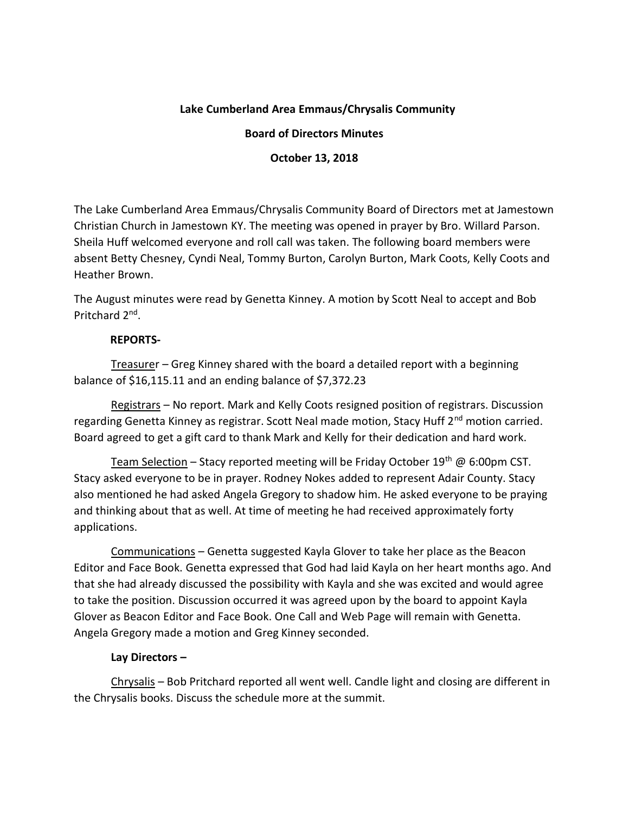## **Lake Cumberland Area Emmaus/Chrysalis Community**

### **Board of Directors Minutes**

## **October 13, 2018**

The Lake Cumberland Area Emmaus/Chrysalis Community Board of Directors met at Jamestown Christian Church in Jamestown KY. The meeting was opened in prayer by Bro. Willard Parson. Sheila Huff welcomed everyone and roll call was taken. The following board members were absent Betty Chesney, Cyndi Neal, Tommy Burton, Carolyn Burton, Mark Coots, Kelly Coots and Heather Brown.

The August minutes were read by Genetta Kinney. A motion by Scott Neal to accept and Bob Pritchard 2<sup>nd</sup>.

# **REPORTS-**

Treasurer – Greg Kinney shared with the board a detailed report with a beginning balance of \$16,115.11 and an ending balance of \$7,372.23

Registrars - No report. Mark and Kelly Coots resigned position of registrars. Discussion regarding Genetta Kinney as registrar. Scott Neal made motion, Stacy Huff 2<sup>nd</sup> motion carried. Board agreed to get a gift card to thank Mark and Kelly for their dedication and hard work.

Team Selection – Stacy reported meeting will be Friday October  $19<sup>th</sup>$  @ 6:00pm CST. Stacy asked everyone to be in prayer. Rodney Nokes added to represent Adair County. Stacy also mentioned he had asked Angela Gregory to shadow him. He asked everyone to be praying and thinking about that as well. At time of meeting he had received approximately forty applications.

Communications – Genetta suggested Kayla Glover to take her place as the Beacon Editor and Face Book. Genetta expressed that God had laid Kayla on her heart months ago. And that she had already discussed the possibility with Kayla and she was excited and would agree to take the position. Discussion occurred it was agreed upon by the board to appoint Kayla Glover as Beacon Editor and Face Book. One Call and Web Page will remain with Genetta. Angela Gregory made a motion and Greg Kinney seconded.

# **Lay Directors –**

Chrysalis – Bob Pritchard reported all went well. Candle light and closing are different in the Chrysalis books. Discuss the schedule more at the summit.